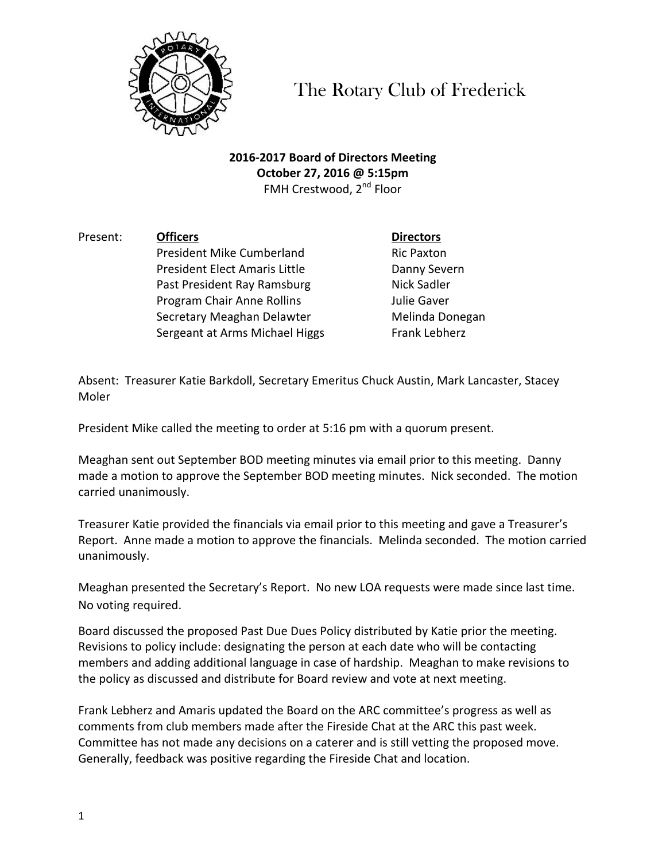

The Rotary Club of Frederick

**2016-2017 Board of Directors Meeting October 27, 2016 @ 5:15pm** FMH Crestwood, 2<sup>nd</sup> Floor

Present: **Officers Directors** President Mike Cumberland Ric Paxton President Elect Amaris Little **Danny Severn** Past President Ray Ramsburg Nick Sadler **Program Chair Anne Rollins Chair Anne Rolling** Chair Anne Rolling Chair and Mulle Gaver Secretary Meaghan Delawter Melinda Donegan

Sergeant at Arms Michael Higgs Frank Lebherz

Absent: Treasurer Katie Barkdoll, Secretary Emeritus Chuck Austin, Mark Lancaster, Stacey Moler

President Mike called the meeting to order at 5:16 pm with a quorum present.

Meaghan sent out September BOD meeting minutes via email prior to this meeting. Danny made a motion to approve the September BOD meeting minutes. Nick seconded. The motion carried unanimously.

Treasurer Katie provided the financials via email prior to this meeting and gave a Treasurer's Report. Anne made a motion to approve the financials. Melinda seconded. The motion carried unanimously.

Meaghan presented the Secretary's Report. No new LOA requests were made since last time. No voting required.

Board discussed the proposed Past Due Dues Policy distributed by Katie prior the meeting. Revisions to policy include: designating the person at each date who will be contacting members and adding additional language in case of hardship. Meaghan to make revisions to the policy as discussed and distribute for Board review and vote at next meeting.

Frank Lebherz and Amaris updated the Board on the ARC committee's progress as well as comments from club members made after the Fireside Chat at the ARC this past week. Committee has not made any decisions on a caterer and is still vetting the proposed move. Generally, feedback was positive regarding the Fireside Chat and location.